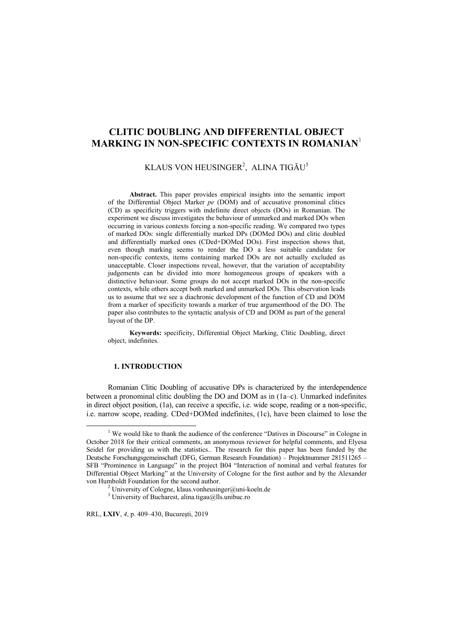# **CLITIC DOUBLING AND DIFFERENTIAL OBJECT MARKING IN NON-SPECIFIC CONTEXTS IN ROMANIAN**<sup>1</sup>

## KLAUS VON HEUSINGER<sup>2</sup>, ALINA TIGĂU<sup>3</sup>

**Abstract.** This paper provides empirical insights into the semantic import of the Differential Object Marker *pe* (DOM) and of accusative pronominal clitics (CD) as specificity triggers with indefinite direct objects (DOs) in Romanian. The experiment we discuss investigates the behaviour of unmarked and marked DOs when occurring in various contexts forcing a non-specific reading. We compared two types of marked DOs: single differentially marked DPs (DOMed DOs) and clitic doubled and differentially marked ones (CDed+DOMed DOs). First inspection shows that, even though marking seems to render the DO a less suitable candidate for non-specific contexts, items containing marked DOs are not actually excluded as unacceptable. Closer inspections reveal, however, that the variation of acceptability judgements can be divided into more homogeneous groups of speakers with a distinctive behaviour. Some groups do not accept marked DOs in the non-specific contexts, while others accept both marked and unmarked DOs. This observation leads us to assume that we see a diachronic development of the function of CD and DOM from a marker of specificity towards a marker of true argumenthood of the DO. The paper also contributes to the syntactic analysis of CD and DOM as part of the general layout of the DP.

**Keywords:** specificity, Differential Object Marking, Clitic Doubling, direct object, indefinites.

## **1. INTRODUCTION**

Romanian Clitic Doubling of accusative DPs is characterized by the interdependence between a pronominal clitic doubling the DO and DOM as in (1a–c). Unmarked indefinites in direct object position, (1a), can receive a specific, i.e. wide scope, reading or a non-specific, i.e. narrow scope, reading. CDed+DOMed indefinites, (1c), have been claimed to lose the

RRL, **LXIV**, *4*, p. 409–430, Bucureşti, 2019

 $\frac{1}{1}$ <sup> $1$ </sup> We would like to thank the audience of the conference "Datives in Discourse" in Cologne in October 2018 for their critical comments, an anonymous reviewer for helpful comments, and Elyesa Seidel for providing us with the statistics.. The research for this paper has been funded by the Deutsche Forschungsgemeinschaft (DFG, German Research Foundation) – Projektnummer 281511265 – SFB "Prominence in Language" in the project B04 "Interaction of nominal and verbal features for Differential Object Marking" at the University of Cologne for the first author and by the Alexander von Humboldt Foundation for the second author. 2

<sup>&</sup>lt;sup>2</sup> University of Cologne, klaus.vonheusinger@uni-koeln.de

<sup>3</sup> University of Bucharest, alina.tigau@lls.unibuc.ro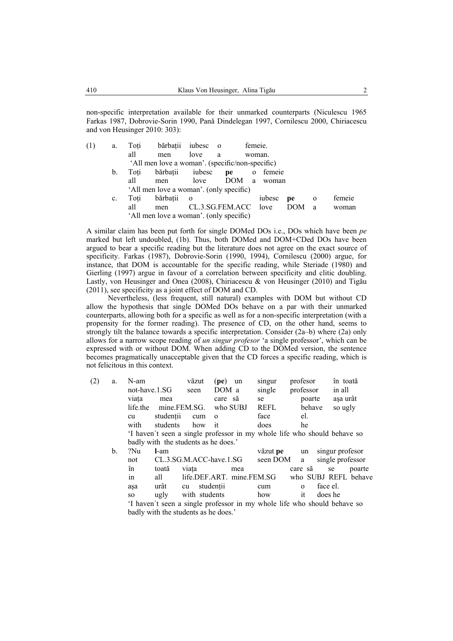non-specific interpretation available for their unmarked counterparts (Niculescu 1965 Farkas 1987, Dobrovie-Sorin 1990, Pană Dindelegan 1997, Cornilescu 2000, Chiriacescu and von Heusinger 2010: 303):

| (1) | a.             | Toți | bărbații iubesc o                               |                |                      | femeie.                 |        |     |              |        |
|-----|----------------|------|-------------------------------------------------|----------------|----------------------|-------------------------|--------|-----|--------------|--------|
|     |                | all  | men                                             | love           | a                    |                         | woman. |     |              |        |
|     |                |      | 'All men love a woman'. (specific/non-specific) |                |                      |                         |        |     |              |        |
|     | $\mathbf b$ .  | Toti | bărbații iubesc                                 |                | pe                   | $\overline{\mathbf{O}}$ | femeie |     |              |        |
|     |                | all  | men                                             | love           | DOM                  | a.                      | woman  |     |              |        |
|     |                |      | 'All men love a woman'. (only specific)         |                |                      |                         |        |     |              |        |
|     | $\mathbf{c}$ . | Toti | bărbatii                                        | $\overline{O}$ |                      |                         | iubesc | pe  | $\mathbf 0$  | femeie |
|     |                | all  | men                                             |                | CL.3.SG.FEM.ACC love |                         |        | DOM | <sub>a</sub> | woman  |
|     |                |      | 'All men love a woman'. (only specific)         |                |                      |                         |        |     |              |        |

A similar claim has been put forth for single DOMed DOs i.e., DOs which have been *pe*  marked but left undoubled, (1b). Thus, both DOMed and DOM+CDed DOs have been argued to bear a specific reading but the literature does not agree on the exact source of specificity. Farkas (1987), Dobrovie-Sorin (1990, 1994), Cornilescu (2000) argue, for instance, that DOM is accountable for the specific reading, while Steriade (1980) and Gierling (1997) argue in favour of a correlation between specificity and clitic doubling. Lastly, von Heusinger and Onea (2008), Chiriacescu & von Heusinger (2010) and Tigău (2011), see specificity as a joint effect of DOM and CD.

Nevertheless, (less frequent, still natural) examples with DOM but without CD allow the hypothesis that single DOMed DOs behave on a par with their unmarked counterparts, allowing both for a specific as well as for a non-specific interpretation (with a propensity for the former reading). The presence of CD, on the other hand, seems to strongly tilt the balance towards a specific interpretation. Consider  $(2a-b)$  where  $(2a)$  only allows for a narrow scope reading of *un singur profesor* 'a single professor', which can be expressed with or without DOM. When adding CD to the DOMed version, the sentence becomes pragmatically unacceptable given that the CD forces a specific reading, which is not felicitous in this context.

| (2) | a.             | N-am     |                                      | văzut                   | (pe)      | un       | singur                    | profesor                                                                 | în toată             |
|-----|----------------|----------|--------------------------------------|-------------------------|-----------|----------|---------------------------|--------------------------------------------------------------------------|----------------------|
|     |                |          | not-have.1.SG                        | seen                    | DOM a     |          | single                    | professor                                                                | in all               |
|     |                | viata    | mea                                  |                         | care să   |          | se                        | poarte                                                                   | așa urât             |
|     |                | life.the |                                      | mine.FEM.SG.            |           | who SUBJ | REFL                      | behave                                                                   | so ugly              |
|     |                | cu       | studentii                            | cum                     | $\Omega$  |          | face                      | el.                                                                      |                      |
|     |                | with     | students                             | how                     | it        |          | does                      | he                                                                       |                      |
|     |                |          |                                      |                         |           |          |                           | 'I haven't seen a single professor in my whole life who should behave so |                      |
|     |                |          | badly with the students as he does.' |                         |           |          |                           |                                                                          |                      |
|     | $\mathbf{b}$ . | ?Nu      | l-am                                 |                         |           |          | văzut <b>pe</b>           | un                                                                       | singur profesor      |
|     |                | not      |                                      | CL.3.SG.M.ACC-have.1.SG |           |          | seen DOM                  | a                                                                        | single professor     |
|     |                | în       | toată                                | viata                   |           | mea      |                           | care să                                                                  | poarte<br>se         |
|     |                | $\sin$   | all                                  |                         |           |          | life.DEF.ART. mine.FEM.SG |                                                                          | who SUBJ REFL behave |
|     |                | asa      | urât                                 | cu                      | studentii |          | cum                       | $\Omega$                                                                 | face el.             |
|     |                | SO.      | ugly                                 | with students           |           |          | how                       | it                                                                       | does he              |
|     |                |          |                                      |                         |           |          |                           | 'I haven't seen a single professor in my whole life who should behave so |                      |
|     |                |          | badly with the students as he does.' |                         |           |          |                           |                                                                          |                      |
|     |                |          |                                      |                         |           |          |                           |                                                                          |                      |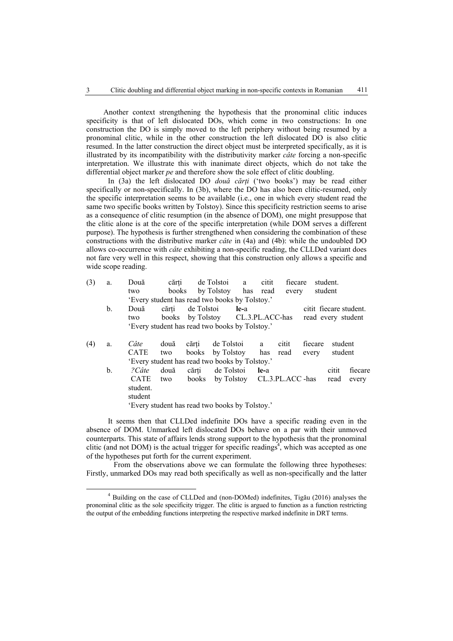Another context strengthening the hypothesis that the pronominal clitic induces specificity is that of left dislocated DOs, which come in two constructions: In one construction the DO is simply moved to the left periphery without being resumed by a pronominal clitic, while in the other construction the left dislocated DO is also clitic resumed. In the latter construction the direct object must be interpreted specifically, as it is illustrated by its incompatibility with the distributivity marker *câte* forcing a non-specific interpretation. We illustrate this with inanimate direct objects, which do not take the differential object marker *pe* and therefore show the sole effect of clitic doubling.

In (3a) the left dislocated DO *două cărţi* ('two books') may be read either specifically or non-specifically. In (3b), where the DO has also been clitic-resumed, only the specific interpretation seems to be available (i.e., one in which every student read the same two specific books written by Tolstoy). Since this specificity restriction seems to arise as a consequence of clitic resumption (in the absence of DOM), one might presuppose that the clitic alone is at the core of the specific interpretation (while DOM serves a different purpose). The hypothesis is further strengthened when considering the combination of these constructions with the distributive marker *câte* in (4a) and (4b): while the undoubled DO allows co-occurrence with *câte* exhibiting a non-specific reading, the CLLDed variant does not fare very well in this respect, showing that this construction only allows a specific and wide scope reading.

| (3) | a. | Două        | cărti                                          |            | de Tolstoi | a               | citit | fiecare          |                        | student. |         |
|-----|----|-------------|------------------------------------------------|------------|------------|-----------------|-------|------------------|------------------------|----------|---------|
|     |    | two         | books                                          |            | by Tolstoy | has             | read  | every            |                        | student  |         |
|     |    |             | 'Every student has read two books by Tolstoy.' |            |            |                 |       |                  |                        |          |         |
|     | b. | Două        | cărti                                          | de Tolstoi |            | le-a            |       |                  | citit fiecare student. |          |         |
|     |    | two         | books                                          | by Tolstoy |            | CL.3.PL.ACC-has |       |                  | read every student     |          |         |
|     |    |             | 'Every student has read two books by Tolstoy.' |            |            |                 |       |                  |                        |          |         |
| (4) | a. | Câte        | două                                           | cărti      | de Tolstoi |                 | a     | citit            | fiecare                | student  |         |
|     |    | <b>CATE</b> | two                                            | books      | by Tolstoy |                 | has   | read             | every                  | student  |         |
|     |    |             | 'Every student has read two books by Tolstoy.' |            |            |                 |       |                  |                        |          |         |
|     | b. | ?Câte       | două                                           | cărti      | de Tolstoi |                 | le-a  |                  |                        | citit    | fiecare |
|     |    | <b>CATE</b> | two                                            | books      | by Tolstoy |                 |       | CL.3.PL.ACC -has |                        | read     | every   |
|     |    | student.    |                                                |            |            |                 |       |                  |                        |          |         |
|     |    | student     |                                                |            |            |                 |       |                  |                        |          |         |
|     |    |             | 'Every student has read two books by Tolstoy'  |            |            |                 |       |                  |                        |          |         |

'Every student has read two books by Tolstoy.'

It seems then that CLLDed indefinite DOs have a specific reading even in the absence of DOM. Unmarked left dislocated DOs behave on a par with their unmoved counterparts. This state of affairs lends strong support to the hypothesis that the pronominal clitic (and not DOM) is the actual trigger for specific readings<sup>4</sup>, which was accepted as one of the hypotheses put forth for the current experiment.

From the observations above we can formulate the following three hypotheses: Firstly, unmarked DOs may read both specifically as well as non-specifically and the latter

 $\frac{1}{4}$  Building on the case of CLLDed and (non-DOMed) indefinites, Tigău (2016) analyses the pronominal clitic as the sole specificity trigger. The clitic is argued to function as a function restricting the output of the embedding functions interpreting the respective marked indefinite in DRT terms.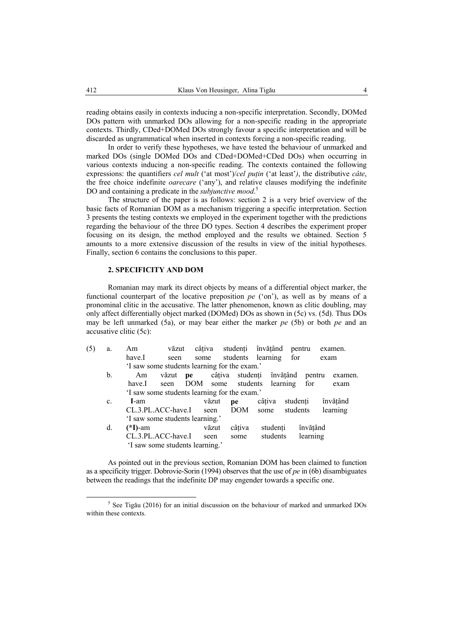reading obtains easily in contexts inducing a non-specific interpretation. Secondly, DOMed DOs pattern with unmarked DOs allowing for a non-specific reading in the appropriate contexts. Thirdly, CDed+DOMed DOs strongly favour a specific interpretation and will be discarded as ungrammatical when inserted in contexts forcing a non-specific reading.

In order to verify these hypotheses, we have tested the behaviour of unmarked and marked DOs (single DOMed DOs and CDed+DOMed+CDed DOs) when occurring in various contexts inducing a non-specific reading. The contexts contained the following expressions: the quantifiers *cel mult* ('at most')/*cel puţin* ('at least'*)*, the distributive *câte*, the free choice indefinite *oarecare* ('any'), and relative clauses modifying the indefinite DO and containing a predicate in the *subjunctive mood*. 5

The structure of the paper is as follows: section 2 is a very brief overview of the basic facts of Romanian DOM as a mechanism triggering a specific interpretation. Section 3 presents the testing contexts we employed in the experiment together with the predictions regarding the behaviour of the three DO types. Section 4 describes the experiment proper focusing on its design, the method employed and the results we obtained. Section 5 amounts to a more extensive discussion of the results in view of the initial hypotheses. Finally, section 6 contains the conclusions to this paper.

## **2. SPECIFICITY AND DOM**

Romanian may mark its direct objects by means of a differential object marker, the functional counterpart of the locative preposition *pe* ('on'), as well as by means of a pronominal clitic in the accusative. The latter phenomenon, known as clitic doubling, may only affect differentially object marked (DOMed) DOs as shown in (5c) vs. (5d). Thus DOs may be left unmarked (5a), or may bear either the marker *pe* (5b) or both *pe* and an accusative clitic (5c):

| (5) | a.             | Am                                           | văzut | câțiva    |       |                 | studenti învătând | pentru   |          | examen.  |
|-----|----------------|----------------------------------------------|-------|-----------|-------|-----------------|-------------------|----------|----------|----------|
|     |                | have.I                                       | seen  | some      |       |                 | students learning | for      |          | exam     |
|     |                | 'I saw some students learning for the exam.' |       |           |       |                 |                   |          |          |          |
|     | $\mathbf{b}$ . | Am                                           | văzut | <b>pe</b> |       | câțiva studenți |                   | învătând | pentru   | examen.  |
|     |                | have.I                                       | seen  | DOM       |       | some students   |                   | learning | for      | exam     |
|     |                | 'I saw some students learning for the exam.' |       |           |       |                 |                   |          |          |          |
|     | c.             | I-am                                         |       |           | văzut | pe              | câtiva            | studenti |          | învătând |
|     |                | CL.3.PL.ACC-have.I                           |       |           | seen  | <b>DOM</b>      | some              | students |          | learning |
|     |                | 'I saw some students learning.'              |       |           |       |                 |                   |          |          |          |
|     | d.             | $(*I)$ -am                                   |       |           | văzut | câțiva          | studenti          |          | învătând |          |
|     |                | CL.3.PL.ACC-have.I                           |       |           | seen  | some            | students          |          | learning |          |
|     |                | 'I saw some students learning.'              |       |           |       |                 |                   |          |          |          |
|     |                |                                              |       |           |       |                 |                   |          |          |          |

As pointed out in the previous section, Romanian DOM has been claimed to function as a specificity trigger. Dobrovie-Sorin (1994) observes that the use of *pe* in (6b) disambiguates between the readings that the indefinite DP may engender towards a specific one.

 $rac{1}{5}$  $5$  See Tigău (2016) for an initial discussion on the behaviour of marked and unmarked DOs within these contexts.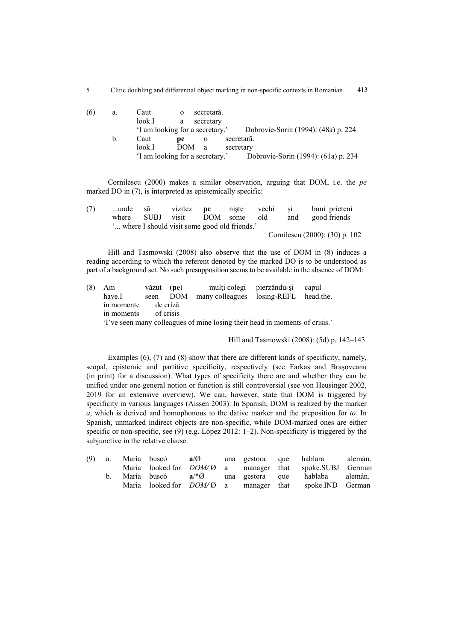| (6) | a.      | Caut                          | $\Omega$ | secretară. |                                     |
|-----|---------|-------------------------------|----------|------------|-------------------------------------|
|     |         | look.I                        | a        | secretary  |                                     |
|     |         | I am looking for a secretary. |          |            | Dobrovie-Sorin (1994): (48a) p. 224 |
|     | $b_{1}$ | Caut                          | рe       | $\Omega$   | secretară.                          |
|     |         | look.I                        | DOM a    |            | secretary                           |
|     |         | I am looking for a secretary. |          |            | Dobrovie-Sorin (1994): (61a) p. 234 |

Cornilescu (2000) makes a similar observation, arguing that DOM, i.e. the *pe*  marked DO in  $(7)$ , is interpreted as epistemically specific:

| (7) | unde să |             |                                                |  |     | vizitez <b>pe</b> niște vechi și buni prieteni |
|-----|---------|-------------|------------------------------------------------|--|-----|------------------------------------------------|
|     | where   | <b>SUBJ</b> | visit DOM some old                             |  | and | good friends                                   |
|     |         |             | " where I should visit some good old friends." |  |     |                                                |
|     |         |             |                                                |  |     | Cornilescu (2000): (30) p. 102                 |
|     |         |             |                                                |  |     |                                                |

Hill and Tasmowski (2008) also observe that the use of DOM in (8) induces a reading according to which the referent denoted by the marked DO is to be understood as part of a background set. No such presupposition seems to be available in the absence of DOM:

| (8) | Am         | văzut (pe) |           |                                                                             | multi colegi pierzându-și | capul     |
|-----|------------|------------|-----------|-----------------------------------------------------------------------------|---------------------------|-----------|
|     | have I     |            | seen DOM  | many colleagues losing-REFL                                                 |                           | head.the. |
|     | în momente |            | de criză. |                                                                             |                           |           |
|     | in moments |            | of crisis |                                                                             |                           |           |
|     |            |            |           | 'I've seen many colleagues of mine losing their head in moments of crisis.' |                           |           |

Hill and Tasmowski (2008): (5d) p. 142–143

Examples (6), (7) and (8) show that there are different kinds of specificity, namely, scopal, epistemic and partitive specificity, respectively (see Farkas and Braşoveanu (in print) for a discussion). What types of specificity there are and whether they can be unified under one general notion or function is still controversial (see von Heusinger 2002, 2019 for an extensive overview). We can, however, state that DOM is triggered by specificity in various languages (Aissen 2003). In Spanish, DOM is realized by the marker *a*, which is derived and homophonous to the dative marker and the preposition for *to.* In Spanish, unmarked indirect objects are non-specific, while DOM-marked ones are either specific or non-specific, see (9) (e.g. López 2012: 1-2). Non-specificity is triggered by the subjunctive in the relative clause.

| $(9)$ a. | María buscó a/Ø              |  |                 | una gestora que hablara alemán.                                   |  |
|----------|------------------------------|--|-----------------|-------------------------------------------------------------------|--|
|          |                              |  |                 | Maria looked for <i>DOM/O</i> a manager that spoke.SUBJ German    |  |
| $b_{1}$  | María buscó $a^{*}\emptyset$ |  | una gestora que | hablaba alemán.                                                   |  |
|          |                              |  |                 | Maria looked for $DOM/\emptyset$ a manager that spoke. IND German |  |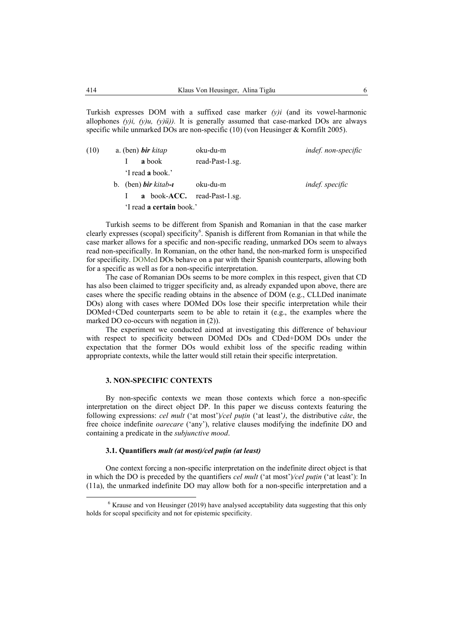Turkish expresses DOM with a suffixed case marker *(y)i* (and its vowel-harmonic allophones  $(y)i$ ,  $(y)ii$ ,  $(y)ii$ ). It is generally assumed that case-marked DOs are always specific while unmarked DOs are non-specific (10) (von Heusinger & Kornfilt 2005).

| (10) |  |
|------|--|
|      |  |
|      |  |
|      |  |
|      |  |

Turkish seems to be different from Spanish and Romanian in that the case marker clearly expresses (scopal) specificity<sup>6</sup>. Spanish is different from Romanian in that while the case marker allows for a specific and non-specific reading, unmarked DOs seem to always read non-specifically. In Romanian, on the other hand, the non-marked form is unspecified for specificity. DOMed DOs behave on a par with their Spanish counterparts, allowing both for a specific as well as for a non-specific interpretation.

The case of Romanian DOs seems to be more complex in this respect, given that CD has also been claimed to trigger specificity and, as already expanded upon above, there are cases where the specific reading obtains in the absence of DOM (e.g., CLLDed inanimate DOs) along with cases where DOMed DOs lose their specific interpretation while their DOMed+CDed counterparts seem to be able to retain it (e.g., the examples where the marked DO co-occurs with negation in (2)).

The experiment we conducted aimed at investigating this difference of behaviour with respect to specificity between DOMed DOs and CDed+DOM DOs under the expectation that the former DOs would exhibit loss of the specific reading within appropriate contexts, while the latter would still retain their specific interpretation.

## **3. NON-SPECIFIC CONTEXTS**

By non-specific contexts we mean those contexts which force a non-specific interpretation on the direct object DP. In this paper we discuss contexts featuring the following expressions: *cel mult* ('at most')*/cel puţin* ('at least'*)*, the distributive *câte*, the free choice indefinite *oarecare* ('any'), relative clauses modifying the indefinite DO and containing a predicate in the *subjunctive mood*.

### **3.1. Quantifiers** *mult (at most)/cel puţin (at least)*

One context forcing a non-specific interpretation on the indefinite direct object is that in which the DO is preceded by the quantifiers *cel mult* ('at most')*/cel puţin* ('at least'): In (11a), the unmarked indefinite DO may allow both for a non-specific interpretation and a

 <sup>6</sup>  $6$  Krause and von Heusinger (2019) have analysed acceptability data suggesting that this only holds for scopal specificity and not for epistemic specificity.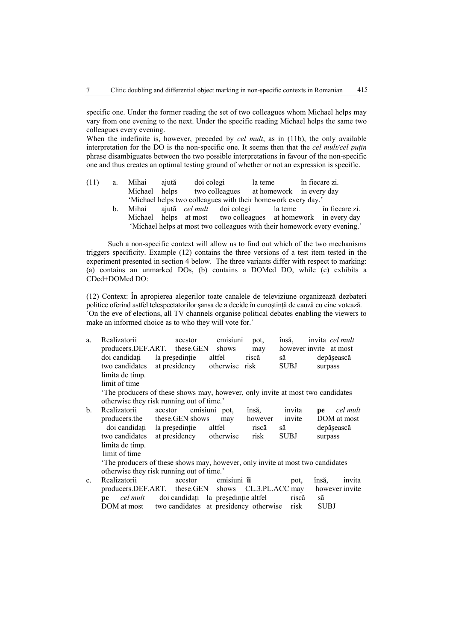specific one. Under the former reading the set of two colleagues whom Michael helps may vary from one evening to the next. Under the specific reading Michael helps the same two colleagues every evening.

When the indefinite is, however, preceded by *cel mult*, as in (11b), the only available interpretation for the DO is the non-specific one. It seems then that the *cel mult/cel puţin*  phrase disambiguates between the two possible interpretations in favour of the non-specific one and thus creates an optimal testing ground of whether or not an expression is specific.

| (11) | Mihai         | aiută | doi colegi                                                    | la teme                  | în fiecare zi. |
|------|---------------|-------|---------------------------------------------------------------|--------------------------|----------------|
|      | Michael helps |       | two colleagues                                                | at homework in every day |                |
|      |               |       | 'Michael helps two colleagues with their homework every day.' |                          |                |

 b. Mihai ajută *cel mult* doi colegi la teme în fiecare zi. Michael helps at most two colleagues at homework in every day 'Michael helps at most two colleagues with their homework every evening.'

Such a non-specific context will allow us to find out which of the two mechanisms triggers specificity. Example (12) contains the three versions of a test item tested in the experiment presented in section 4 below. The three variants differ with respect to marking: (a) contains an unmarked DOs, (b) contains a DOMed DO, while (c) exhibits a CDed+DOMed DO:

(12) Context: În apropierea alegerilor toate canalele de televiziune organizează dezbateri politice oferind astfel telespectatorilor sansa de a decide în cunostință de cauză cu cine votează. ´On the eve of elections, all TV channels organise political debates enabling the viewers to make an informed choice as to who they will vote for.´

| a.             | Realizatorii    | acestor                                                                       | emisiuni       | pot,            | însă.                  | invita cel mult |                |
|----------------|-----------------|-------------------------------------------------------------------------------|----------------|-----------------|------------------------|-----------------|----------------|
|                |                 | producers.DEF.ART. these.GEN                                                  | shows          | may             | however invite at most |                 |                |
|                | doi candidați   | la președinție                                                                | altfel         | riscă           | să                     | depășească      |                |
|                | two candidates  | at presidency                                                                 | otherwise risk |                 | <b>SUBJ</b>            | surpass         |                |
|                | limita de timp. |                                                                               |                |                 |                        |                 |                |
|                | limit of time   |                                                                               |                |                 |                        |                 |                |
|                |                 | The producers of these shows may, however, only invite at most two candidates |                |                 |                        |                 |                |
|                |                 | otherwise they risk running out of time.'                                     |                |                 |                        |                 |                |
| b.             | Realizatorii    | acestor                                                                       | emisiuni pot.  | însă,           | invita                 | pe              | cel mult       |
|                |                 | producers.the these.GEN shows                                                 | may            | however         | invite                 |                 | DOM at most    |
|                | doi candidați   | la președinție                                                                | altfel         | riscă           | să                     | depășească      |                |
|                | two candidates  | at presidency otherwise                                                       |                | risk            | SUBJ                   | surpass         |                |
|                | limita de timp. |                                                                               |                |                 |                        |                 |                |
|                | limit of time   |                                                                               |                |                 |                        |                 |                |
|                |                 | The producers of these shows may, however, only invite at most two candidates |                |                 |                        |                 |                |
|                |                 | otherwise they risk running out of time.'                                     |                |                 |                        |                 |                |
| $\mathbf{c}$ . | Realizatorii    | acestor                                                                       | emisiuni îi    |                 | pot,                   | însă.           | invita         |
|                |                 | producers.DEF.ART. these.GEN shows                                            |                | CL.3.PL.ACC may |                        |                 | however invite |
|                | cel mult<br>pe  | doi candidați la președinție altfel                                           |                |                 | riscă                  | să              |                |
|                |                 | DOM at most two candidates at presidency otherwise                            |                |                 | risk                   | SUBJ            |                |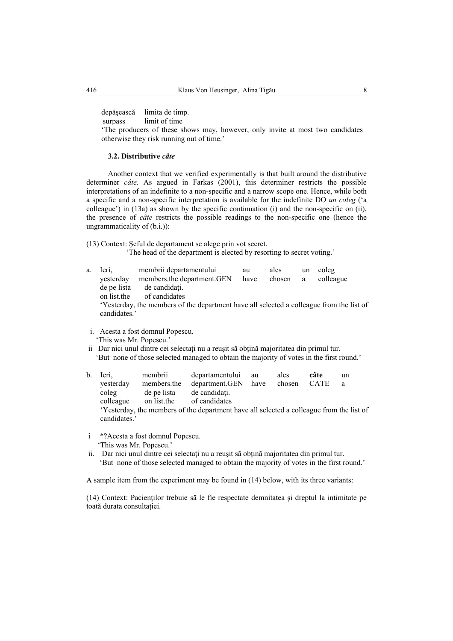depăşească limita de timp.

surpass limit of time

 'The producers of these shows may, however, only invite at most two candidates otherwise they risk running out of time.'

## **3.2. Distributive** *câte*

Another context that we verified experimentally is that built around the distributive determiner *câte.* As argued in Farkas (2001), this determiner restricts the possible interpretations of an indefinite to a non-specific and a narrow scope one. Hence, while both a specific and a non-specific interpretation is available for the indefinite DO *un coleg* ('a colleague') in (13a) as shown by the specific continuation (i) and the non-specific on (ii), the presence of *câte* restricts the possible readings to the non-specific one (hence the ungrammaticality of (b.i.)):

(13) Context: Şeful de departament se alege prin vot secret.

'The head of the department is elected by resorting to secret voting.'

| a. | Ieri.        | membrii departamentului                                                                  | au   | ales   | un | coleg     |
|----|--------------|------------------------------------------------------------------------------------------|------|--------|----|-----------|
|    | vesterday    | members.the department.GEN                                                               | have | chosen | a  | colleague |
|    | de pe lista  | de candidați.                                                                            |      |        |    |           |
|    | on list the  | of candidates                                                                            |      |        |    |           |
|    |              | 'Yesterday, the members of the department have all selected a colleague from the list of |      |        |    |           |
|    | candidates.' |                                                                                          |      |        |    |           |
|    |              |                                                                                          |      |        |    |           |

i. Acesta a fost domnul Popescu.

'This was Mr. Popescu.'

ii Dar nici unul dintre cei selectati nu a reusit să obțină majoritatea din primul tur. 'But none of those selected managed to obtain the majority of votes in the first round.'

b. Ieri, membrii departamentului au ales **câte** un yesterday members.the department.GEN have chosen CATE a coleg de pe lista de candidaţi. colleague on list.the of candidates 'Yesterday, the members of the department have all selected a colleague from the list of candidates.'

i \*?Acesta a fost domnul Popescu.

'This was Mr. Popescu.'

ii. Dar nici unul dintre cei selectați nu a reușit să obțină majoritatea din primul tur. 'But none of those selected managed to obtain the majority of votes in the first round.'

A sample item from the experiment may be found in (14) below, with its three variants:

(14) Context: Pacientilor trebuie să le fie respectate demnitatea și dreptul la intimitate pe toată durata consultației.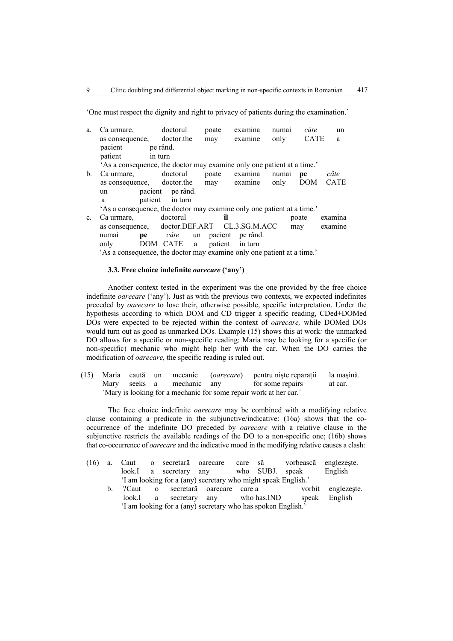'One must respect the dignity and right to privacy of patients during the examination.'

| a.             | Ca urmare,                                                             | doctorul         | poate           | examina     | numai | câte        | un          |
|----------------|------------------------------------------------------------------------|------------------|-----------------|-------------|-------|-------------|-------------|
|                | as consequence, doctor.the                                             |                  | may             | examine     | only  | <b>CATE</b> | a           |
|                | pacient                                                                | pe rând.         |                 |             |       |             |             |
|                | patient                                                                | in turn          |                 |             |       |             |             |
|                | 'As a consequence, the doctor may examine only one patient at a time.' |                  |                 |             |       |             |             |
| $\mathbf{b}$ . | Ca urmare,                                                             | doctorul         | poate           | examina     | numai | pe          | câte        |
|                | as consequence, doctor.the                                             |                  |                 | may examine | only  | <b>DOM</b>  | <b>CATE</b> |
|                | un                                                                     | pacient pe rând. |                 |             |       |             |             |
|                | a                                                                      | patient in turn  |                 |             |       |             |             |
|                | 'As a consequence, the doctor may examine only one patient at a time.' |                  |                 |             |       |             |             |
| $\mathbf{c}$ . | Ca urmare.                                                             | doctorul         | îl              |             |       | poate       | examina     |
|                | as consequence, doctor.DEF.ART CL.3.SG.M.ACC                           |                  |                 |             |       | may         | examine     |
|                | numai                                                                  | câte<br>pe       | un pacient      | pe rând.    |       |             |             |
|                | only                                                                   | DOM CATE a       | patient in turn |             |       |             |             |
|                | 'As a consequence, the doctor may examine only one patient at a time.' |                  |                 |             |       |             |             |

## **3.3. Free choice indefinite** *oarecare* **('any')**

Another context tested in the experiment was the one provided by the free choice indefinite *oarecare* ('any'). Just as with the previous two contexts, we expected indefinites preceded by *oarecare* to lose their, otherwise possible, specific interpretation. Under the hypothesis according to which DOM and CD trigger a specific reading, CDed+DOMed DOs were expected to be rejected within the context of *oarecare,* while DOMed DOs would turn out as good as unmarked DOs*.* Example (15) shows this at work*:* the unmarked DO allows for a specific or non-specific reading: Maria may be looking for a specific (or non-specific) mechanic who might help her with the car. When the DO carries the modification of *oarecare,* the specific reading is ruled out.

(15) Maria caută un mecanic (*oarecare*) pentru nişte reparaţii la maşină. Mary seeks a mechanic any for some repairs at car. ´Mary is looking for a mechanic for some repair work at her car.´

The free choice indefinite *oarecare* may be combined with a modifying relative clause containing a predicate in the subjunctive/indicative: (16a) shows that the cooccurrence of the indefinite DO preceded by *oarecare* with a relative clause in the subjunctive restricts the available readings of the DO to a non-specific one; (16b) shows that co-occurrence of *oarecare* and the indicative mood in the modifying relative causes a clash:

| (16) | a.          | Caut   |          | o secretară oarecare                                          |                    | care să |              | vorbească englezeste. |             |
|------|-------------|--------|----------|---------------------------------------------------------------|--------------------|---------|--------------|-----------------------|-------------|
|      |             | look.I |          | a secretary                                                   | any                |         | who SUBJ.    | speak                 | English     |
|      |             |        |          | 'I am looking for a (any) secretary who might speak English.' |                    |         |              |                       |             |
|      | $b_{\rm L}$ | ?Caut  | $\Omega$ |                                                               | secretară oarecare | care a  |              | vorbit                | englezeste. |
|      |             | look.I | a        | secretary                                                     | anv                |         | who has. IND | speak                 | English     |
|      |             |        |          | 'I am looking for a (any) secretary who has spoken English.'  |                    |         |              |                       |             |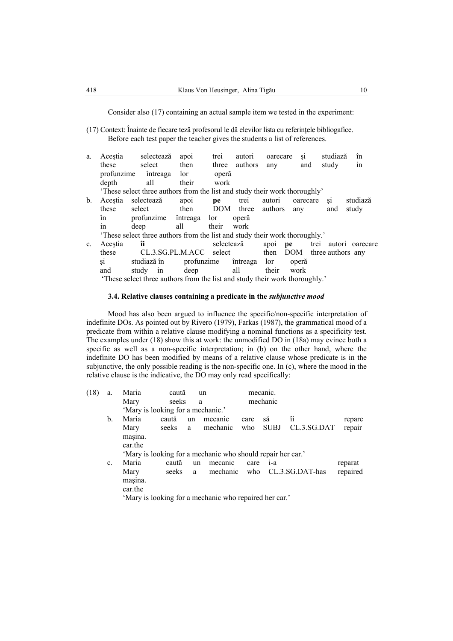Consider also (17) containing an actual sample item we tested in the experiment:

(17) Context: Înainte de fiecare teză profesorul le dă elevilor lista cu referinţele bibliogafice. Before each test paper the teacher gives the students a list of references.

| a.             | Acestia         | selectează                                                                  | apoi         | trei       | autori            | oarecare | S1       | studiază              | în              |
|----------------|-----------------|-----------------------------------------------------------------------------|--------------|------------|-------------------|----------|----------|-----------------------|-----------------|
|                | these           | select                                                                      | then         | three      | authors           | any      | and      | study                 | in              |
|                | profunzime      | întreaga                                                                    | lor          | operă      |                   |          |          |                       |                 |
|                | depth           | all                                                                         | their        | work       |                   |          |          |                       |                 |
|                |                 | 'These select three authors from the list and study their work thoroughly'  |              |            |                   |          |          |                       |                 |
| $\mathbf{b}$ . | Acestia         | selectează                                                                  | apoi         | pe         | trei              | autori   | oarecare | S1                    | studiază        |
|                | these           | select                                                                      | then         |            | DOM three authors |          | any      | and                   | study           |
|                | în              | profunzime                                                                  | întreaga lor |            | operă             |          |          |                       |                 |
|                | 1n              | deep                                                                        | all          | their      | work              |          |          |                       |                 |
|                |                 | 'These select three authors from the list and study their work thoroughly.' |              |            |                   |          |          |                       |                 |
| $\mathbf{c}$ . | Acestia         | îi                                                                          |              | selectează |                   | apoi pe  |          | trei                  | autori oarecare |
|                | these           | CL.3.SG.PL.M.ACC select                                                     |              |            |                   | then     |          | DOM three authors any |                 |
|                | $\overline{S1}$ | studiază în                                                                 | profunzime   |            | întreaga lor      |          | operă    |                       |                 |
|                | and             | study<br>in                                                                 | deep         |            | all               | their    | work     |                       |                 |
|                |                 | These select three authors from the list and study their work thoroughly.   |              |            |                   |          |          |                       |                 |

# **3.4. Relative clauses containing a predicate in the** *subjunctive mood*

Mood has also been argued to influence the specific/non-specific interpretation of indefinite DOs. As pointed out by Rivero (1979), Farkas (1987), the grammatical mood of a predicate from within a relative clause modifying a nominal functions as a specificity test. The examples under (18) show this at work: the unmodified DO in (18a) may evince both a specific as well as a non-specific interpretation; in (b) on the other hand, where the indefinite DO has been modified by means of a relative clause whose predicate is in the subjunctive, the only possible reading is the non-specific one. In (c), where the mood in the relative clause is the indicative, the DO may only read specifically:

| (18) | a.             | Maria                             | caută   |    | un                                                          |      | mecanic.    |                 |          |
|------|----------------|-----------------------------------|---------|----|-------------------------------------------------------------|------|-------------|-----------------|----------|
|      |                | Mary                              | seeks   | a  |                                                             |      | mechanic    |                 |          |
|      |                | 'Mary is looking for a mechanic.' |         |    |                                                             |      |             |                 |          |
|      | $\mathbf{b}$ . | Maria                             | caută   | un | mecanic                                                     | care | să          | îi              | repare   |
|      |                | Mary                              | seeks a |    | mechanic                                                    | who  | <b>SUBJ</b> | CL.3.SG.DAT     | repair   |
|      |                | masina.                           |         |    |                                                             |      |             |                 |          |
|      |                | car.the                           |         |    |                                                             |      |             |                 |          |
|      |                |                                   |         |    | 'Mary is looking for a mechanic who should repair her car.' |      |             |                 |          |
|      | c.             | Maria                             | caută   | un | mecanic                                                     | care | $1 - a$     |                 | reparat  |
|      |                | Mary                              | seeks   | a  | mechanic                                                    | who  |             | CL.3.SG.DAT-has | repaired |
|      |                | masina.                           |         |    |                                                             |      |             |                 |          |
|      |                | car.the                           |         |    |                                                             |      |             |                 |          |
|      |                |                                   |         |    | 'Mary is looking for a mechanic who repaired her car.'      |      |             |                 |          |
|      |                |                                   |         |    |                                                             |      |             |                 |          |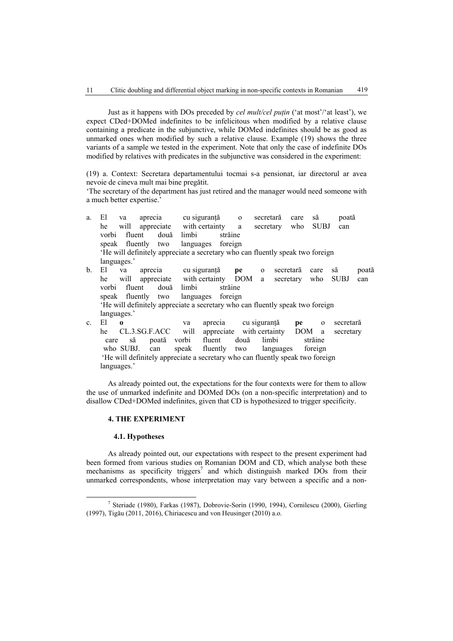Just as it happens with DOs preceded by *cel mult/cel puţin* ('at most'/'at least'), we expect CDed+DOMed indefinites to be infelicitous when modified by a relative clause containing a predicate in the subjunctive, while DOMed indefinites should be as good as unmarked ones when modified by such a relative clause. Example (19) shows the three variants of a sample we tested in the experiment. Note that only the case of indefinite DOs modified by relatives with predicates in the subjunctive was considered in the experiment:

(19) a. Context: Secretara departamentului tocmai s-a pensionat, iar directorul ar avea nevoie de cineva mult mai bine pregătit.

'The secretary of the department has just retired and the manager would need someone with a much better expertise.'

| a.             | El          | va             | aprecia                                                                      |             | cu siguranță              | $\mathbf{O}$ | secretară     | care      | să          | poată       |       |
|----------------|-------------|----------------|------------------------------------------------------------------------------|-------------|---------------------------|--------------|---------------|-----------|-------------|-------------|-------|
|                | he          |                | will appreciate with certainty                                               |             |                           | a            | secretary     | who       | <b>SUBJ</b> | can         |       |
|                | vorbi       | fluent         | două                                                                         | limbi       | străine                   |              |               |           |             |             |       |
|                |             | speak fluently | two                                                                          | languages   | foreign                   |              |               |           |             |             |       |
|                |             |                | He will definitely appreciate a secretary who can fluently speak two foreign |             |                           |              |               |           |             |             |       |
|                | languages.' |                |                                                                              |             |                           |              |               |           |             |             |       |
| $\mathbf{b}$ . | Εl          | va             | aprecia                                                                      |             | cu sigurantă              | pe           | $\mathbf{0}$  | secretară | care        | să          | poată |
|                | he          |                | will appreciate with certainty DOM a                                         |             |                           |              |               | secretary | who         | <b>SUBJ</b> | can   |
|                |             | vorbi fluent   | două                                                                         | limbi       | străine                   |              |               |           |             |             |       |
|                |             |                | speak fluently two                                                           |             | languages foreign         |              |               |           |             |             |       |
|                |             |                | He will definitely appreciate a secretary who can fluently speak two foreign |             |                           |              |               |           |             |             |       |
|                | languages.' |                |                                                                              |             |                           |              |               |           |             |             |       |
| $\mathbf{c}$ . | El          | $\Omega$       |                                                                              | va          | aprecia                   |              | cu siguranță  | pe        | $\Omega$    | secretară   |       |
|                | he          |                | CL.3.SG.F.ACC                                                                | will        | appreciate with certainty |              |               | DOM       | a           | secretary   |       |
|                | care        | să             |                                                                              | poată vorbi | fluent                    | două         | limbi         |           | străine     |             |       |
|                |             | who SUBJ.      | can                                                                          | speak       | fluently                  |              | two languages |           | foreign     |             |       |
|                |             |                |                                                                              |             |                           |              |               |           |             |             |       |

'He will definitely appreciate a secretary who can fluently speak two foreign languages.'

As already pointed out, the expectations for the four contexts were for them to allow the use of unmarked indefinite and DOMed DOs (on a non-specific interpretation) and to disallow CDed+DOMed indefinites, given that CD is hypothesized to trigger specificity.

## **4. THE EXPERIMENT**

## **4.1. Hypotheses**

As already pointed out, our expectations with respect to the present experiment had been formed from various studies on Romanian DOM and CD, which analyse both these mechanisms as specificity triggers<sup>7</sup> and which distinguish marked DOs from their unmarked correspondents, whose interpretation may vary between a specific and a non-

 $\frac{1}{7}$  Steriade (1980), Farkas (1987), Dobrovie-Sorin (1990, 1994), Cornilescu (2000), Gierling (1997), Tigău (2011, 2016), Chiriacescu and von Heusinger (2010) a.o.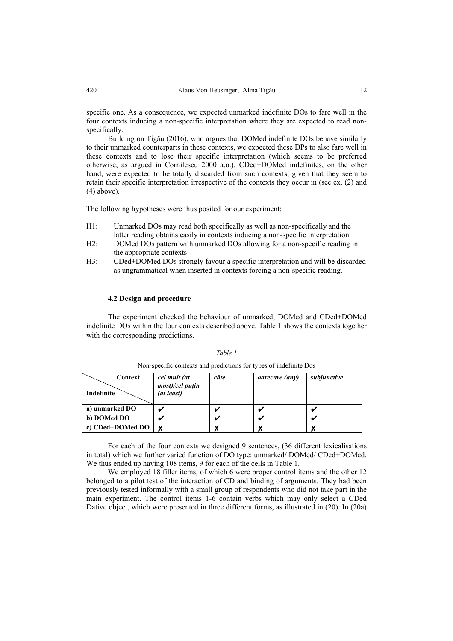specific one. As a consequence, we expected unmarked indefinite DOs to fare well in the four contexts inducing a non-specific interpretation where they are expected to read nonspecifically.

Building on Tigău (2016), who argues that DOMed indefinite DOs behave similarly to their unmarked counterparts in these contexts, we expected these DPs to also fare well in these contexts and to lose their specific interpretation (which seems to be preferred otherwise, as argued in Cornilescu 2000 a.o.). CDed+DOMed indefinites, on the other hand, were expected to be totally discarded from such contexts, given that they seem to retain their specific interpretation irrespective of the contexts they occur in (see ex. (2) and (4) above).

The following hypotheses were thus posited for our experiment:

- H1: Unmarked DOs may read both specifically as well as non-specifically and the latter reading obtains easily in contexts inducing a non-specific interpretation.
- H2: DOMed DOs pattern with unmarked DOs allowing for a non-specific reading in the appropriate contexts
- H3: CDed+DOMed DOs strongly favour a specific interpretation and will be discarded as ungrammatical when inserted in contexts forcing a non-specific reading.

### **4.2 Design and procedure**

The experiment checked the behaviour of unmarked, DOMed and CDed+DOMed indefinite DOs within the four contexts described above. Table 1 shows the contexts together with the corresponding predictions.

| Context<br>Indefinite | cel mult (at<br>most)/cel puțin<br>(at least) | câte | <i>oarecare (any)</i> | subjunctive |
|-----------------------|-----------------------------------------------|------|-----------------------|-------------|
| a) unmarked DO        |                                               |      |                       |             |
| b) DOMed DO           | u                                             |      |                       |             |
| c) CDed+DOMed DO      | X                                             |      |                       |             |

*Table 1*  Non-specific contexts and predictions for types of indefinite Dos

For each of the four contexts we designed 9 sentences, (36 different lexicalisations in total) which we further varied function of DO type: unmarked/ DOMed/ CDed+DOMed. We thus ended up having 108 items, 9 for each of the cells in Table 1.

We employed 18 filler items, of which 6 were proper control items and the other 12 belonged to a pilot test of the interaction of CD and binding of arguments. They had been previously tested informally with a small group of respondents who did not take part in the main experiment. The control items 1-6 contain verbs which may only select a CDed Dative object, which were presented in three different forms, as illustrated in (20). In (20a)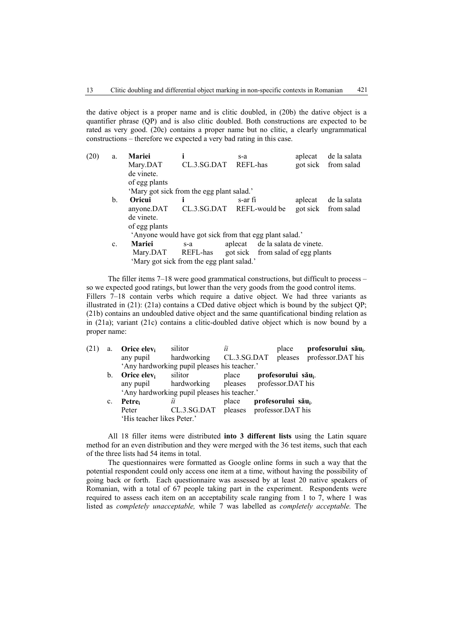the dative object is a proper name and is clitic doubled, in (20b) the dative object is a quantifier phrase (QP) and is also clitic doubled. Both constructions are expected to be rated as very good. (20c) contains a proper name but no clitic, a clearly ungrammatical constructions – therefore we expected a very bad rating in this case.

| (20) | a.             | <b>Mariei</b>                             |                                                         | s-a      |                                   | aplecat | de la salata        |  |  |  |  |
|------|----------------|-------------------------------------------|---------------------------------------------------------|----------|-----------------------------------|---------|---------------------|--|--|--|--|
|      |                | Mary.DAT                                  | CL.3.SG.DAT                                             | REFL-has |                                   |         | got sick from salad |  |  |  |  |
|      |                | de vinete.                                |                                                         |          |                                   |         |                     |  |  |  |  |
|      |                | of egg plants                             |                                                         |          |                                   |         |                     |  |  |  |  |
|      |                | 'Mary got sick from the egg plant salad.' |                                                         |          |                                   |         |                     |  |  |  |  |
|      | b.             | Oricui                                    |                                                         | s-ar fi  |                                   | aplecat | de la salata        |  |  |  |  |
|      |                | anyone.DAT                                | CL.3.SG.DAT                                             |          | REFL-would be                     |         | got sick from salad |  |  |  |  |
|      |                | de vinete.                                |                                                         |          |                                   |         |                     |  |  |  |  |
|      |                | of egg plants                             |                                                         |          |                                   |         |                     |  |  |  |  |
|      |                |                                           | 'Anyone would have got sick from that egg plant salad.' |          |                                   |         |                     |  |  |  |  |
|      | $\mathbf{c}$ . | <b>Mariei</b>                             | $S - a$                                                 | aplecat  | de la salata de vinete.           |         |                     |  |  |  |  |
|      |                | Mary.DAT                                  | REFL-has                                                |          | got sick from salad of egg plants |         |                     |  |  |  |  |
|      |                |                                           | 'Mary got sick from the egg plant salad.'               |          |                                   |         |                     |  |  |  |  |

The filler items 7–18 were good grammatical constructions, but difficult to process – so we expected good ratings, but lower than the very goods from the good control items. Fillers 7–18 contain verbs which require a dative object. We had three variants as illustrated in  $(21)$ :  $(21a)$  contains a CDed dative object which is bound by the subject QP; (21b) contains an undoubled dative object and the same quantificational binding relation as in (21a); variant (21c) contains a clitic-doubled dative object which is now bound by a proper name:

| (21) | a.      | Orice elev <sub>i</sub>                | silitor                                          | îi    | place                                 | profesorului său <sub>i</sub> .                   |
|------|---------|----------------------------------------|--------------------------------------------------|-------|---------------------------------------|---------------------------------------------------|
|      |         | any pupil                              |                                                  |       |                                       | hardworking CL.3.SG.DAT pleases professor.DAT his |
|      |         |                                        | 'Any hardworking pupil pleases his teacher.'     |       |                                       |                                                   |
|      | $b_{1}$ | <b>Orice elev</b> <sub>i</sub> silitor |                                                  |       | place profesorului său <sub>i</sub> . |                                                   |
|      |         |                                        | any pupil hardworking pleases professor. DAT his |       |                                       |                                                   |
|      |         |                                        | 'Any hardworking pupil pleases his teacher.'     |       |                                       |                                                   |
|      | c.      | Petre <sub>i</sub>                     | îi                                               | place | profesorului său                      |                                                   |
|      |         | Peter                                  | CL.3.SG.DAT pleases professor.DAT his            |       |                                       |                                                   |
|      |         | 'His teacher likes Peter.'             |                                                  |       |                                       |                                                   |
|      |         |                                        |                                                  |       |                                       |                                                   |

All 18 filler items were distributed **into 3 different lists** using the Latin square method for an even distribution and they were merged with the 36 test items, such that each of the three lists had 54 items in total.

The questionnaires were formatted as Google online forms in such a way that the potential respondent could only access one item at a time, without having the possibility of going back or forth. Each questionnaire was assessed by at least 20 native speakers of Romanian, with a total of 67 people taking part in the experiment. Respondents were required to assess each item on an acceptability scale ranging from 1 to 7, where 1 was listed as *completely unacceptable,* while 7 was labelled as *completely acceptable.* The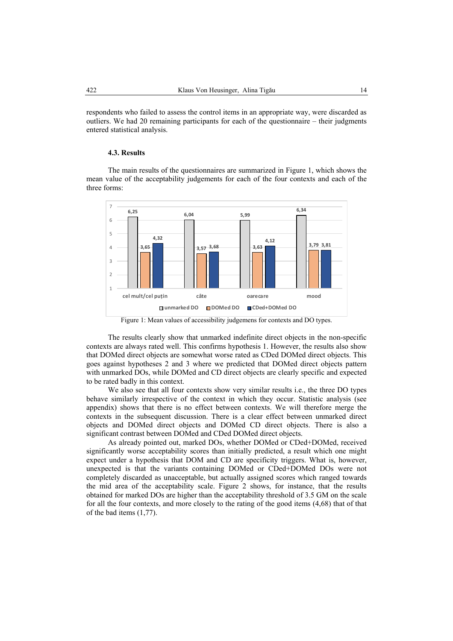respondents who failed to assess the control items in an appropriate way, were discarded as outliers. We had 20 remaining participants for each of the questionnaire – their judgments entered statistical analysis.

#### **4.3. Results**

The main results of the questionnaires are summarized in Figure 1, which shows the mean value of the acceptability judgements for each of the four contexts and each of the three forms:



Figure 1: Mean values of accessibility judgemens for contexts and DO types.

The results clearly show that unmarked indefinite direct objects in the non-specific contexts are always rated well. This confirms hypothesis 1. However, the results also show that DOMed direct objects are somewhat worse rated as CDed DOMed direct objects. This goes against hypotheses 2 and 3 where we predicted that DOMed direct objects pattern with unmarked DOs, while DOMed and CD direct objects are clearly specific and expected to be rated badly in this context.

We also see that all four contexts show very similar results i.e., the three DO types behave similarly irrespective of the context in which they occur. Statistic analysis (see appendix) shows that there is no effect between contexts. We will therefore merge the contexts in the subsequent discussion. There is a clear effect between unmarked direct objects and DOMed direct objects and DOMed CD direct objects. There is also a significant contrast between DOMed and CDed DOMed direct objects.

As already pointed out, marked DOs, whether DOMed or CDed+DOMed, received significantly worse acceptability scores than initially predicted, a result which one might expect under a hypothesis that DOM and CD are specificity triggers. What is, however, unexpected is that the variants containing DOMed or CDed+DOMed DOs were not completely discarded as unacceptable, but actually assigned scores which ranged towards the mid area of the acceptability scale. Figure 2 shows, for instance, that the results obtained for marked DOs are higher than the acceptability threshold of 3.5 GM on the scale for all the four contexts, and more closely to the rating of the good items (4,68) that of that of the bad items (1,77).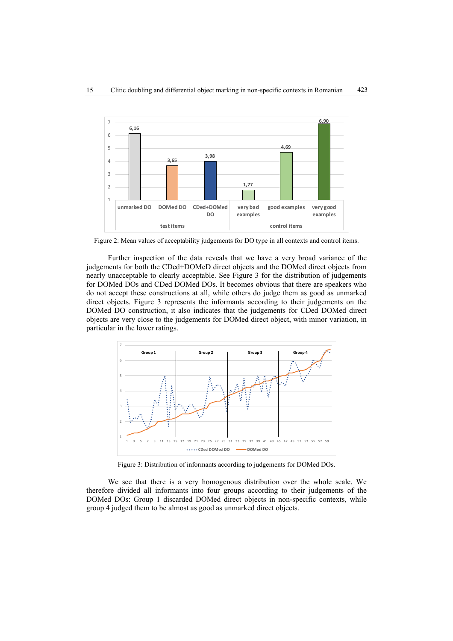

Figure 2: Mean values of acceptability judgements for DO type in all contexts and control items.

Further inspection of the data reveals that we have a very broad variance of the judgements for both the CDed+DOMeD direct objects and the DOMed direct objects from nearly unacceptable to clearly acceptable. See Figure 3 for the distribution of judgements for DOMed DOs and CDed DOMed DOs. It becomes obvious that there are speakers who do not accept these constructions at all, while others do judge them as good as unmarked direct objects. Figure 3 represents the informants according to their judgements on the DOMed DO construction, it also indicates that the judgements for CDed DOMed direct objects are very close to the judgements for DOMed direct object, with minor variation, in particular in the lower ratings.



Figure 3: Distribution of informants according to judgements for DOMed DOs.

We see that there is a very homogenous distribution over the whole scale. We therefore divided all informants into four groups according to their judgements of the DOMed DOs: Group 1 discarded DOMed direct objects in non-specific contexts, while group 4 judged them to be almost as good as unmarked direct objects.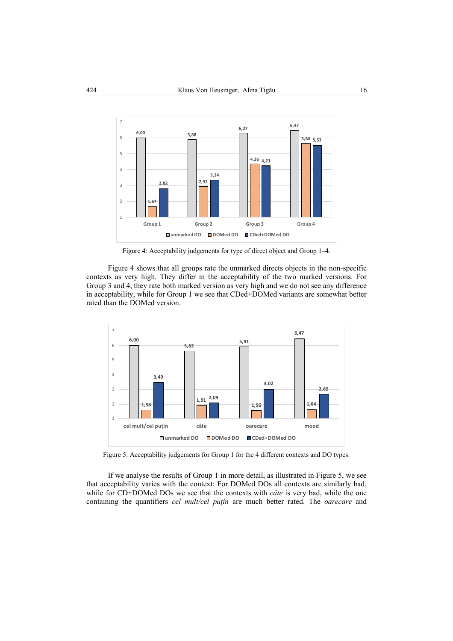

Figure 4: Acceptability judgements for type of direct object and Group 1–4.

Figure 4 shows that all groups rate the unmarked directs objects in the non-specific contexts as very high. They differ in the acceptability of the two marked versions. For Group 3 and 4, they rate both marked version as very high and we do not see any difference in acceptability, while for Group 1 we see that CDed+DOMed variants are somewhat better rated than the DOMed version.



Figure 5: Acceptability judgements for Group 1 for the 4 different contexts and DO types.

If we analyse the results of Group 1 in more detail, as illustrated in Figure 5, we see that acceptability varies with the context: For DOMed DOs all contexts are similarly bad, while for CD+DOMed DOs we see that the contexts with *câte* is very bad, while the one containing the quantifiers *cel mult/cel puţin* are much better rated. The *oarecare* and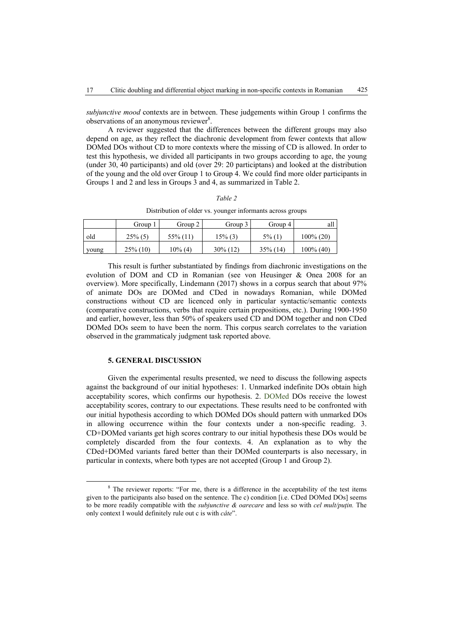*subjunctive mood* contexts are in between. These judgements within Group 1 confirms the observations of an anonymous reviewer<sup>8</sup>.

A reviewer suggested that the differences between the different groups may also depend on age, as they reflect the diachronic development from fewer contexts that allow DOMed DOs without CD to more contexts where the missing of CD is allowed. In order to test this hypothesis, we divided all participants in two groups according to age, the young (under 30, 40 participants) and old (over 29: 20 participtans) and looked at the distribution of the young and the old over Group 1 to Group 4. We could find more older participants in Groups 1 and 2 and less in Groups 3 and 4, as summarized in Table 2.

#### *Table 2*

Distribution of older vs. younger informants across groups

|       | Group       | Group 2     | Group 3     | Group 4     | all          |
|-------|-------------|-------------|-------------|-------------|--------------|
| old   | $25\%$ (5)  | $55\%$ (11) | 15% (3)     | $5\%$ (1)   | $100\% (20)$ |
| young | $25\%$ (10) | 10% (4)     | $30\%$ (12) | $35\%$ (14) | $100\%$ (40) |

This result is further substantiated by findings from diachronic investigations on the evolution of DOM and CD in Romanian (see von Heusinger & Onea 2008 for an overview). More specifically, Lindemann (2017) shows in a corpus search that about 97% of animate DOs are DOMed and CDed in nowadays Romanian, while DOMed constructions without CD are licenced only in particular syntactic/semantic contexts (comparative constructions, verbs that require certain prepositions, etc.). During 1900-1950 and earlier, however, less than 50% of speakers used CD and DOM together and non CDed DOMed DOs seem to have been the norm. This corpus search correlates to the variation observed in the grammaticaly judgment task reported above.

### **5. GENERAL DISCUSSION**

Given the experimental results presented, we need to discuss the following aspects against the background of our initial hypotheses: 1. Unmarked indefinite DOs obtain high acceptability scores, which confirms our hypothesis. 2. DOMed DOs receive the lowest acceptability scores, contrary to our expectations. These results need to be confronted with our initial hypothesis according to which DOMed DOs should pattern with unmarked DOs in allowing occurrence within the four contexts under a non-specific reading. 3. CD+DOMed variants get high scores contrary to our initial hypothesis these DOs would be completely discarded from the four contexts. 4. An explanation as to why the CDed+DOMed variants fared better than their DOMed counterparts is also necessary, in particular in contexts, where both types are not accepted (Group 1 and Group 2).

 $\frac{1}{8}$ <sup>8</sup> The reviewer reports: "For me, there is a difference in the acceptability of the test items given to the participants also based on the sentence. The c) condition [i.e. CDed DOMed DOs] seems to be more readily compatible with the *subjunctive & oarecare* and less so with *cel mult/puţin.* The only context I would definitely rule out c is with *câte*".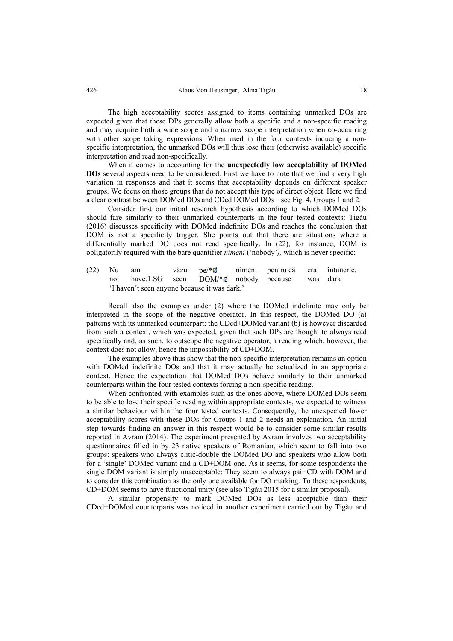The high acceptability scores assigned to items containing unmarked DOs are expected given that these DPs generally allow both a specific and a non-specific reading and may acquire both a wide scope and a narrow scope interpretation when co-occurring with other scope taking expressions. When used in the four contexts inducing a nonspecific interpretation, the unmarked DOs will thus lose their (otherwise available) specific interpretation and read non-specifically.

When it comes to accounting for the **unexpectedly low acceptability of DOMed DOs** several aspects need to be considered. First we have to note that we find a very high variation in responses and that it seems that acceptability depends on different speaker groups. We focus on those groups that do not accept this type of direct object. Here we find a clear contrast between DOMed DOs and CDed DOMed DOs – see Fig. 4, Groups 1 and 2.

Consider first our initial research hypothesis according to which DOMed DOs should fare similarly to their unmarked counterparts in the four tested contexts: Tigău (2016) discusses specificity with DOMed indefinite DOs and reaches the conclusion that DOM is not a specificity trigger. She points out that there are situations where a differentially marked DO does not read specifically. In (22), for instance, DOM is obligatorily required with the bare quantifier *nimeni* ('nobody'*),* which is never specific:

(22) Nu am văzut pe/ $*\mathcal{O}$  nimeni pentru că era întuneric. not have.1.SG seen DOM/\*<sup>*n*</sup> nobody because was dark 'I haven´t seen anyone because it was dark.'

Recall also the examples under (2) where the DOMed indefinite may only be interpreted in the scope of the negative operator. In this respect, the DOMed DO (a) patterns with its unmarked counterpart; the CDed+DOMed variant (b) is however discarded from such a context, which was expected, given that such DPs are thought to always read specifically and, as such, to outscope the negative operator, a reading which, however, the context does not allow, hence the impossibility of CD+DOM.

The examples above thus show that the non-specific interpretation remains an option with DOMed indefinite DOs and that it may actually be actualized in an appropriate context. Hence the expectation that DOMed DOs behave similarly to their unmarked counterparts within the four tested contexts forcing a non-specific reading.

When confronted with examples such as the ones above, where DOMed DOs seem to be able to lose their specific reading within appropriate contexts, we expected to witness a similar behaviour within the four tested contexts. Consequently, the unexpected lower acceptability scores with these DOs for Groups 1 and 2 needs an explanation. An initial step towards finding an answer in this respect would be to consider some similar results reported in Avram (2014). The experiment presented by Avram involves two acceptability questionnaires filled in by 23 native speakers of Romanian, which seem to fall into two groups: speakers who always clitic-double the DOMed DO and speakers who allow both for a 'single' DOMed variant and a CD+DOM one. As it seems, for some respondents the single DOM variant is simply unacceptable: They seem to always pair CD with DOM and to consider this combination as the only one available for DO marking. To these respondents, CD+DOM seems to have functional unity (see also Tigău 2015 for a similar proposal).

A similar propensity to mark DOMed DOs as less acceptable than their CDed+DOMed counterparts was noticed in another experiment carried out by Tigău and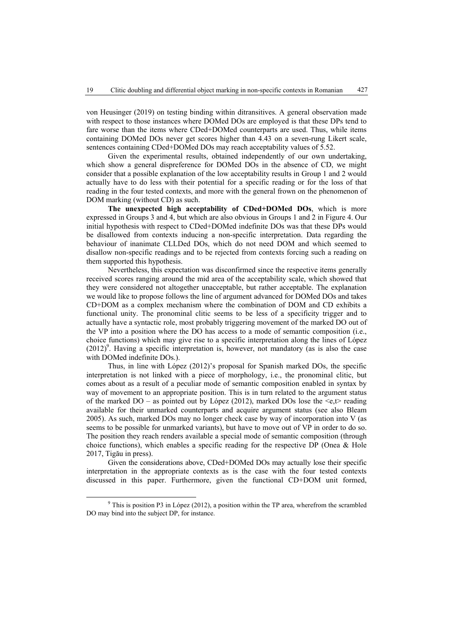von Heusinger (2019) on testing binding within ditransitives. A general observation made with respect to those instances where DOMed DOs are employed is that these DPs tend to fare worse than the items where CDed+DOMed counterparts are used. Thus, while items containing DOMed DOs never get scores higher than 4.43 on a seven-rung Likert scale, sentences containing CDed+DOMed DOs may reach acceptability values of 5.52.

Given the experimental results, obtained independently of our own undertaking, which show a general dispreference for DOMed DOs in the absence of CD, we might consider that a possible explanation of the low acceptability results in Group 1 and 2 would actually have to do less with their potential for a specific reading or for the loss of that reading in the four tested contexts, and more with the general frown on the phenomenon of DOM marking (without CD) as such.

**The unexpected high acceptability of CDed+DOMed DOs**, which is more expressed in Groups 3 and 4, but which are also obvious in Groups 1 and 2 in Figure 4. Our initial hypothesis with respect to CDed+DOMed indefinite DOs was that these DPs would be disallowed from contexts inducing a non-specific interpretation. Data regarding the behaviour of inanimate CLLDed DOs, which do not need DOM and which seemed to disallow non-specific readings and to be rejected from contexts forcing such a reading on them supported this hypothesis.

Nevertheless, this expectation was disconfirmed since the respective items generally received scores ranging around the mid area of the acceptability scale, which showed that they were considered not altogether unacceptable, but rather acceptable. The explanation we would like to propose follows the line of argument advanced for DOMed DOs and takes CD+DOM as a complex mechanism where the combination of DOM and CD exhibits a functional unity. The pronominal clitic seems to be less of a specificity trigger and to actually have a syntactic role, most probably triggering movement of the marked DO out of the VP into a position where the DO has access to a mode of semantic composition (i.e., choice functions) which may give rise to a specific interpretation along the lines of López  $(2012)^9$ . Having a specific interpretation is, however, not mandatory (as is also the case with DOMed indefinite DOs.).

Thus, in line with López (2012)'s proposal for Spanish marked DOs, the specific interpretation is not linked with a piece of morphology, i.e., the pronominal clitic, but comes about as a result of a peculiar mode of semantic composition enabled in syntax by way of movement to an appropriate position. This is in turn related to the argument status of the marked DO – as pointed out by López (2012), marked DOs lose the  $\leq e, t$  reading available for their unmarked counterparts and acquire argument status (see also Bleam 2005). As such, marked DOs may no longer check case by way of incorporation into V (as seems to be possible for unmarked variants), but have to move out of VP in order to do so. The position they reach renders available a special mode of semantic composition (through choice functions), which enables a specific reading for the respective DP (Onea  $\&$  Hole 2017, Tigău in press).

Given the considerations above, CDed+DOMed DOs may actually lose their specific interpretation in the appropriate contexts as is the case with the four tested contexts discussed in this paper. Furthermore, given the functional CD+DOM unit formed,

 <sup>9</sup>  $9$  This is position P3 in López (2012), a position within the TP area, wherefrom the scrambled DO may bind into the subject DP, for instance.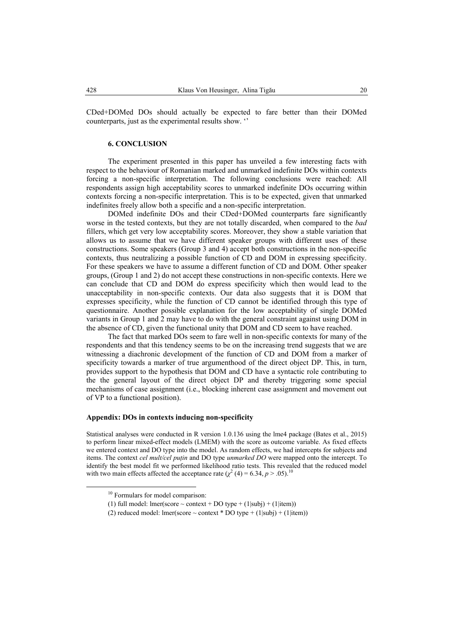CDed+DOMed DOs should actually be expected to fare better than their DOMed counterparts, just as the experimental results show. ''

#### **6. CONCLUSION**

The experiment presented in this paper has unveiled a few interesting facts with respect to the behaviour of Romanian marked and unmarked indefinite DOs within contexts forcing a non-specific interpretation. The following conclusions were reached: All respondents assign high acceptability scores to unmarked indefinite DOs occurring within contexts forcing a non-specific interpretation. This is to be expected, given that unmarked indefinites freely allow both a specific and a non-specific interpretation.

DOMed indefinite DOs and their CDed+DOMed counterparts fare significantly worse in the tested contexts, but they are not totally discarded, when compared to the *bad* fillers, which get very low acceptability scores. Moreover, they show a stable variation that allows us to assume that we have different speaker groups with different uses of these constructions. Some speakers (Group 3 and 4) accept both constructions in the non-specific contexts, thus neutralizing a possible function of CD and DOM in expressing specificity. For these speakers we have to assume a different function of CD and DOM. Other speaker groups, (Group 1 and 2) do not accept these constructions in non-specific contexts. Here we can conclude that CD and DOM do express specificity which then would lead to the unacceptability in non-specific contexts. Our data also suggests that it is DOM that expresses specificity, while the function of CD cannot be identified through this type of questionnaire. Another possible explanation for the low acceptability of single DOMed variants in Group 1 and 2 may have to do with the general constraint against using DOM in the absence of CD, given the functional unity that DOM and CD seem to have reached.

The fact that marked DOs seem to fare well in non-specific contexts for many of the respondents and that this tendency seems to be on the increasing trend suggests that we are witnessing a diachronic development of the function of CD and DOM from a marker of specificity towards a marker of true argumenthood of the direct object DP. This, in turn, provides support to the hypothesis that DOM and CD have a syntactic role contributing to the the general layout of the direct object DP and thereby triggering some special mechanisms of case assignment (i.e., blocking inherent case assignment and movement out of VP to a functional position).

### **Appendix: DOs in contexts inducing non-specificity**

Statistical analyses were conducted in R version 1.0.136 using the lme4 package (Bates et al., 2015) to perform linear mixed-effect models (LMEM) with the score as outcome variable. As fixed effects we entered context and DO type into the model. As random effects, we had intercepts for subjects and items. The context *cel mult/cel puţin* and DO type *unmarked DO* were mapped onto the intercept. To identify the best model fit we performed likelihood ratio tests. This revealed that the reduced model with two main effects affected the acceptance rate  $(\chi^2(4) = 6.34, p > .05)^{10}$ 

<sup>&</sup>lt;sup>10</sup> Formulars for model comparison:

<sup>(1)</sup> full model: lmer(score  $\sim$  context + DO type + (1|subj) + (1|item))

<sup>(2)</sup> reduced model: lmer(score  $\sim$  context \* DO type + (1|subj) + (1|item))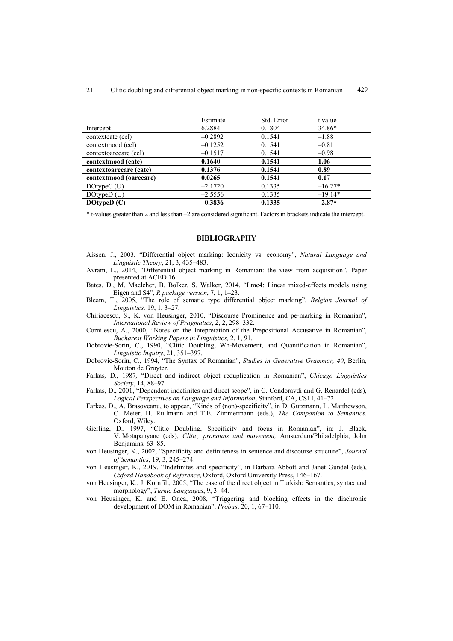|                        | Estimate  | Std. Error | t value   |
|------------------------|-----------|------------|-----------|
| Intercept              | 6.2884    | 0.1804     | 34.86*    |
| contextcate (cel)      | $-0.2892$ | 0.1541     | $-1.88$   |
| contextmood (cel)      | $-0.1252$ | 0.1541     | $-0.81$   |
| contextoarecare (cel)  | $-0.1517$ | 0.1541     | $-0.98$   |
| contextmood (cate)     | 0.1640    | 0.1541     | 1.06      |
| contextoarecare (cate) | 0.1376    | 0.1541     | 0.89      |
| contextmood (oarecare) | 0.0265    | 0.1541     | 0.17      |
| DOtype $C(U)$          | $-2.1720$ | 0.1335     | $-16.27*$ |
| $DO$ type $D(U)$       | $-2.5556$ | 0.1335     | $-19.14*$ |
| DOtypeD $(C)$          | $-0.3836$ | 0.1335     | $-2.87*$  |

\* t-values greater than 2 and less than –2 are considered significant. Factors in brackets indicate the intercept.

### **BIBLIOGRAPHY**

- Aissen, J., 2003, "Differential object marking: Iconicity vs. economy", *Natural Language and Linguistic Theory*, 21, 3, 435–483.
- Avram, L., 2014, "Differential object marking in Romanian: the view from acquisition", Paper presented at ACED 16.
- Bates, D., M. Maelcher, B. Bolker, S. Walker, 2014, "Lme4: Linear mixed-effects models using Eigen and S4", *R package version*, 7, 1, 1–23.
- Bleam, T., 2005, "The role of sematic type differential object marking", *Belgian Journal of Linguistics,* 19, 1, 3–27.
- Chiriacescu, S., K. von Heusinger, 2010, "Discourse Prominence and pe-marking in Romanian", *International Review of Pragmatics*, 2, 2, 298–332.
- Cornilescu, A., 2000, "Notes on the Intepretation of the Prepositional Accusative in Romanian", *Bucharest Working Papers in Linguistics,* 2, 1, 91.
- Dobrovie-Sorin, C., 1990, "Clitic Doubling, Wh-Movement, and Quantification in Romanian", *Linguistic Inquiry*, 21, 351–397.
- Dobrovie-Sorin, C., 1994, "The Syntax of Romanian", *Studies in Generative Grammar, 40*, Berlin, Mouton de Gruyter.
- Farkas*,* D., 1987*,* "Direct and indirect object reduplication in Romanian", *Chicago Linguistics Society*, 14, 88–97.
- Farkas, D., 2001, "Dependent indefinites and direct scope", in C. Condoravdi and G. Renardel (eds), *Logical Perspectives on Language and Information*, Stanford, CA, CSLI, 41–72.
- Farkas, D., A. Brasoveanu, to appear, "Kinds of (non)-specificity", in D. Gutzmann, L. Matthewson, C. Meier, H. Rullmann and T.E. Zimmermann (eds.), *The Companion to Semantics*. Oxford, Wiley.
- Gierling, D., 1997, "Clitic Doubling, Specificity and focus in Romanian", in: J. Black, V. Motapanyane (eds), *Clitic, pronouns and movement,* Amsterdam/Philadelphia, John Benjamins, 63–85.
- von Heusinger, K., 2002, "Specificity and definiteness in sentence and discourse structure", *Journal of Semantics*, 19, 3, 245–274.
- von Heusinger, K., 2019, "Indefinites and specificity", in Barbara Abbott and Janet Gundel (eds), *Oxford Handbook of Reference*, Oxford, Oxford University Press, 146–167.
- von Heusinger, K., J. Kornfilt, 2005, "The case of the direct object in Turkish: Semantics, syntax and morphology", *Turkic Languages*, 9, 3–44.
- von Heusinger, K. and E. Onea, 2008, "Triggering and blocking effects in the diachronic development of DOM in Romanian", *Probus*, 20, 1, 67–110.